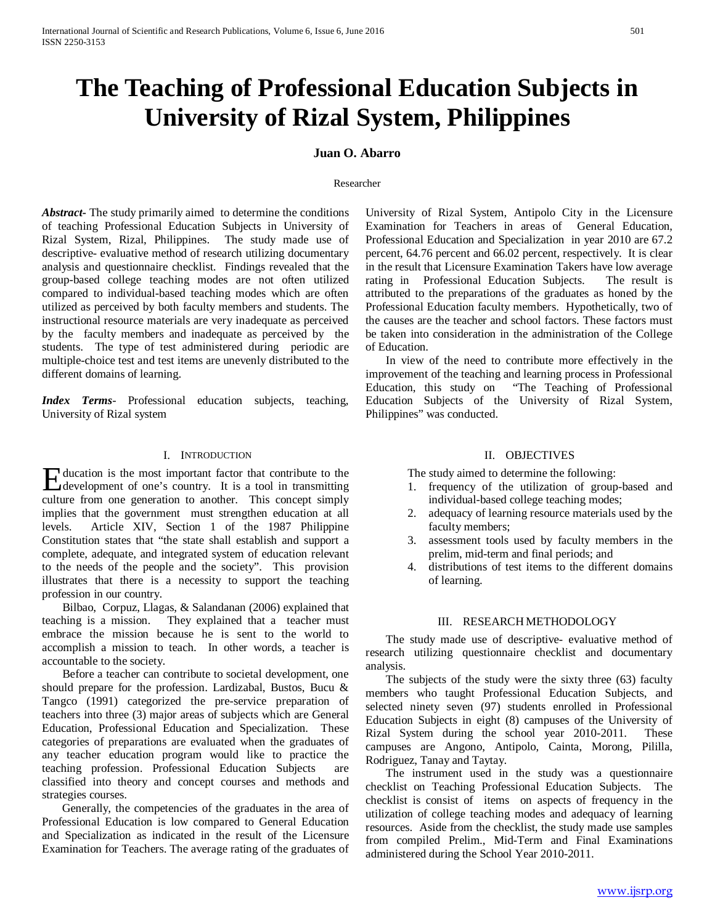# **The Teaching of Professional Education Subjects in University of Rizal System, Philippines**

## **Juan O. Abarro**

#### Researcher

*Abstract***-** The study primarily aimed to determine the conditions of teaching Professional Education Subjects in University of Rizal System, Rizal, Philippines. The study made use of descriptive- evaluative method of research utilizing documentary analysis and questionnaire checklist. Findings revealed that the group-based college teaching modes are not often utilized compared to individual-based teaching modes which are often utilized as perceived by both faculty members and students. The instructional resource materials are very inadequate as perceived by the faculty members and inadequate as perceived by the students. The type of test administered during periodic are multiple-choice test and test items are unevenly distributed to the different domains of learning.

*Index Terms*- Professional education subjects, teaching, University of Rizal system

### I. INTRODUCTION

ducation is the most important factor that contribute to the Education is the most important factor that contribute to the development of one's country. It is a tool in transmitting culture from one generation to another. This concept simply implies that the government must strengthen education at all levels. Article XIV, Section 1 of the 1987 Philippine Constitution states that "the state shall establish and support a complete, adequate, and integrated system of education relevant to the needs of the people and the society". This provision illustrates that there is a necessity to support the teaching profession in our country.

 Bilbao, Corpuz, Llagas, & Salandanan (2006) explained that teaching is a mission. They explained that a teacher must embrace the mission because he is sent to the world to accomplish a mission to teach. In other words, a teacher is accountable to the society.

 Before a teacher can contribute to societal development, one should prepare for the profession. Lardizabal, Bustos, Bucu & Tangco (1991) categorized the pre-service preparation of teachers into three (3) major areas of subjects which are General Education, Professional Education and Specialization. These categories of preparations are evaluated when the graduates of any teacher education program would like to practice the teaching profession. Professional Education Subjects are classified into theory and concept courses and methods and strategies courses.

 Generally, the competencies of the graduates in the area of Professional Education is low compared to General Education and Specialization as indicated in the result of the Licensure Examination for Teachers. The average rating of the graduates of University of Rizal System, Antipolo City in the Licensure Examination for Teachers in areas of General Education, Professional Education and Specialization in year 2010 are 67.2 percent, 64.76 percent and 66.02 percent, respectively. It is clear in the result that Licensure Examination Takers have low average rating in Professional Education Subjects. The result is attributed to the preparations of the graduates as honed by the Professional Education faculty members. Hypothetically, two of the causes are the teacher and school factors. These factors must be taken into consideration in the administration of the College of Education.

 In view of the need to contribute more effectively in the improvement of the teaching and learning process in Professional Education, this study on "The Teaching of Professional Education Subjects of the University of Rizal System, Philippines" was conducted.

## II. OBJECTIVES

The study aimed to determine the following:

- 1. frequency of the utilization of group-based and individual-based college teaching modes;
- 2. adequacy of learning resource materials used by the faculty members;
- 3. assessment tools used by faculty members in the prelim, mid-term and final periods; and
- 4. distributions of test items to the different domains of learning.

## III. RESEARCH METHODOLOGY

 The study made use of descriptive- evaluative method of research utilizing questionnaire checklist and documentary analysis.

 The subjects of the study were the sixty three (63) faculty members who taught Professional Education Subjects, and selected ninety seven (97) students enrolled in Professional Education Subjects in eight (8) campuses of the University of Rizal System during the school year 2010-2011. These campuses are Angono, Antipolo, Cainta, Morong, Pililla, Rodriguez, Tanay and Taytay.

 The instrument used in the study was a questionnaire checklist on Teaching Professional Education Subjects. The checklist is consist of items on aspects of frequency in the utilization of college teaching modes and adequacy of learning resources. Aside from the checklist, the study made use samples from compiled Prelim., Mid-Term and Final Examinations administered during the School Year 2010-2011.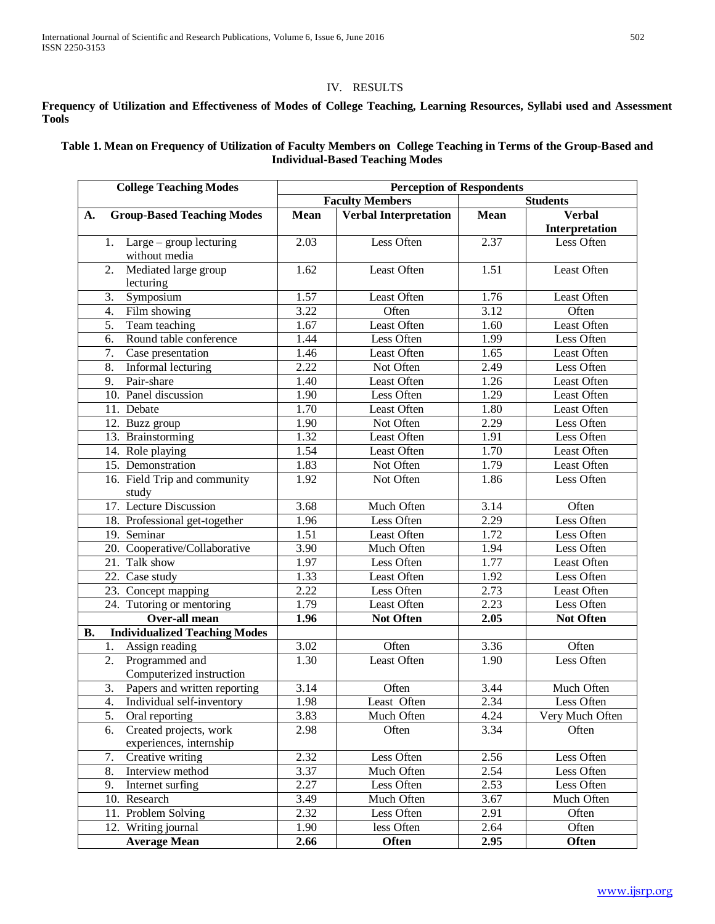# IV. RESULTS

## **Frequency of Utilization and Effectiveness of Modes of College Teaching, Learning Resources, Syllabi used and Assessment Tools**

## **Table 1. Mean on Frequency of Utilization of Faculty Members on College Teaching in Terms of the Group-Based and Individual-Based Teaching Modes**

| <b>College Teaching Modes</b>                     | <b>Perception of Respondents</b>          |                              |                   |                    |
|---------------------------------------------------|-------------------------------------------|------------------------------|-------------------|--------------------|
|                                                   | <b>Faculty Members</b><br><b>Students</b> |                              |                   |                    |
| <b>Group-Based Teaching Modes</b><br>A.           | <b>Mean</b>                               | <b>Verbal Interpretation</b> | Mean              | <b>Verbal</b>      |
|                                                   |                                           |                              |                   | Interpretation     |
| Large – group lecturing<br>1.<br>without media    | 2.03                                      | Less Often                   | 2.37              | Less Often         |
| Mediated large group<br>2.                        | 1.62                                      | Least Often                  | 1.51              | Least Often        |
| lecturing                                         |                                           |                              |                   |                    |
| Symposium<br>3.                                   | 1.57                                      | Least Often                  | 1.76              | Least Often        |
| Film showing<br>4.                                | 3.22                                      | Often                        | 3.12              | Often              |
| Team teaching<br>5.                               | 1.67                                      | Least Often                  | $\overline{1.60}$ | Least Often        |
| Round table conference<br>6.                      | 1.44                                      | Less Often                   | 1.99              | Less Often         |
| 7.<br>Case presentation                           | 1.46                                      | Least Often                  | 1.65              | Least Often        |
| Informal lecturing<br>8.                          | 2.22                                      | Not Often                    | 2.49              | Less Often         |
| Pair-share<br>9.                                  | 1.40                                      | Least Often                  | 1.26              | Least Often        |
| 10. Panel discussion                              | 1.90                                      | Less Often                   | 1.29              | Least Often        |
| 11. Debate                                        | 1.70                                      | <b>Least Often</b>           | $\overline{1.80}$ | Least Often        |
| 12. Buzz group                                    | 1.90                                      | Not Often                    | 2.29              | Less Often         |
| 13. Brainstorming                                 | 1.32                                      | Least Often                  | 1.91              | Less Often         |
| 14. Role playing                                  | 1.54                                      | Least Often                  | 1.70              | Least Often        |
| 15. Demonstration                                 | 1.83                                      | Not Often                    | 1.79              | <b>Least Often</b> |
| 16. Field Trip and community                      | 1.92                                      | Not Often                    | 1.86              | Less Often         |
| study                                             |                                           |                              |                   |                    |
| 17. Lecture Discussion                            | 3.68                                      | Much Often                   | 3.14              | Often              |
| 18. Professional get-together                     | 1.96                                      | Less Often                   | 2.29              | Less Often         |
| 19. Seminar                                       | 1.51                                      | Least Often                  | 1.72              | Less Often         |
| 20. Cooperative/Collaborative                     | 3.90                                      | Much Often                   | 1.94              | Less Often         |
| 21. Talk show                                     | 1.97                                      | Less Often                   | 1.77              | Least Often        |
| 22. Case study                                    | 1.33                                      | Least Often                  | 1.92              | Less Often         |
| 23. Concept mapping                               | 2.22                                      | Less Often                   | 2.73              | Least Often        |
| 24. Tutoring or mentoring                         | 1.79                                      | Least Often                  | 2.23              | Less Often         |
| Over-all mean                                     | 1.96                                      | <b>Not Often</b>             | 2.05              | <b>Not Often</b>   |
| <b>Individualized Teaching Modes</b><br><b>B.</b> |                                           |                              |                   |                    |
| 1.<br>Assign reading                              | 3.02                                      | Often                        | 3.36              | Often              |
| Programmed and<br>2.                              | 1.30                                      | Least Often                  | 1.90              | Less Often         |
| Computerized instruction                          |                                           |                              |                   |                    |
| Papers and written reporting<br>3.                | 3.14                                      | Often                        | 3.44              | Much Often         |
| Individual self-inventory<br>4.                   | 1.98                                      | Least Often                  | 2.34              | Less Often         |
| 5.<br>Oral reporting                              | 3.83                                      | Much Often                   | 4.24              | Very Much Often    |
| Created projects, work<br>6.                      | 2.98                                      | Often                        | 3.34              | Often              |
| experiences, internship                           |                                           |                              |                   |                    |
| 7.<br>Creative writing                            | 2.32                                      | Less Often                   | 2.56              | Less Often         |
| 8.<br>Interview method                            | 3.37                                      | Much Often                   | 2.54              | Less Often         |
| 9.<br>Internet surfing                            | 2.27                                      | Less Often                   | 2.53              | Less Often         |
| 10. Research                                      | 3.49                                      | Much Often                   | 3.67              | Much Often         |
| 11. Problem Solving                               | 2.32                                      | Less Often                   | 2.91              | Often              |
| 12. Writing journal                               | 1.90                                      | less Often                   | 2.64              | Often              |
| <b>Average Mean</b>                               | 2.66                                      | Often                        | 2.95              | Often              |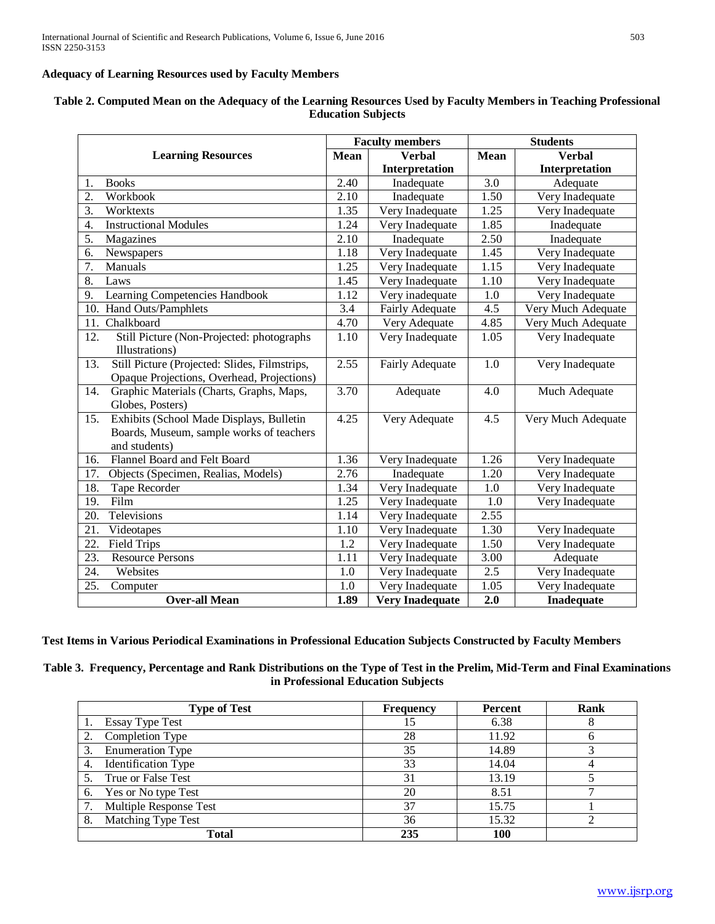## **Adequacy of Learning Resources used by Faculty Members**

| <b>Learning Resources</b>                                                                                    |                   | <b>Faculty members</b> |                  | <b>Students</b>              |  |
|--------------------------------------------------------------------------------------------------------------|-------------------|------------------------|------------------|------------------------------|--|
|                                                                                                              |                   | Mean<br><b>Verbal</b>  |                  | <b>Mean</b><br><b>Verbal</b> |  |
|                                                                                                              |                   | Interpretation         |                  | Interpretation               |  |
| <b>Books</b><br>1.                                                                                           | 2.40              | Inadequate             | 3.0              | Adequate                     |  |
| 2.<br>Workbook                                                                                               | 2.10              | Inadequate             | 1.50             | Very Inadequate              |  |
| 3.<br>Worktexts                                                                                              | 1.35              | Very Inadequate        | 1.25             | Very Inadequate              |  |
| <b>Instructional Modules</b><br>4.                                                                           | 1.24              | Very Inadequate        | 1.85             | Inadequate                   |  |
| 5.<br>Magazines                                                                                              | 2.10              | Inadequate             | 2.50             | Inadequate                   |  |
| Newspapers<br>6.                                                                                             | 1.18              | Very Inadequate        | 1.45             | Very Inadequate              |  |
| 7.<br>Manuals                                                                                                | 1.25              | Very Inadequate        | 1.15             | Very Inadequate              |  |
| 8.<br>Laws                                                                                                   | 1.45              | Very Inadequate        | 1.10             | Very Inadequate              |  |
| Learning Competencies Handbook<br>9.                                                                         | 1.12              | Very inadequate        | 1.0              | Very Inadequate              |  |
| 10. Hand Outs/Pamphlets                                                                                      | 3.4               | <b>Fairly Adequate</b> | 4.5              | Very Much Adequate           |  |
| Chalkboard<br>11.                                                                                            | 4.70              | Very Adequate          | 4.85             | Very Much Adequate           |  |
| 12.<br>Still Picture (Non-Projected: photographs<br>Illustrations)                                           | 1.10              | Very Inadequate        | 1.05             | Very Inadequate              |  |
| Still Picture (Projected: Slides, Filmstrips,<br>13.<br>Opaque Projections, Overhead, Projections)           | 2.55              | <b>Fairly Adequate</b> | 1.0              | Very Inadequate              |  |
| Graphic Materials (Charts, Graphs, Maps,<br>14.<br>Globes, Posters)                                          | 3.70              | Adequate               | 4.0              | Much Adequate                |  |
| Exhibits (School Made Displays, Bulletin<br>15.<br>Boards, Museum, sample works of teachers<br>and students) | 4.25              | Very Adequate          | 4.5              | Very Much Adequate           |  |
| Flannel Board and Felt Board<br>16.                                                                          | 1.36              | Very Inadequate        | 1.26             | Very Inadequate              |  |
| Objects (Specimen, Realias, Models)<br>17.                                                                   | $\overline{2.76}$ | Inadequate             | 1.20             | Very Inadequate              |  |
| 18.<br><b>Tape Recorder</b>                                                                                  | 1.34              | Very Inadequate        | 1.0              | Very Inadequate              |  |
| 19.<br>Film                                                                                                  | 1.25              | Very Inadequate        | 1.0              | Very Inadequate              |  |
| 20.<br>Televisions                                                                                           | 1.14              | Very Inadequate        | 2.55             |                              |  |
| 21.<br>Videotapes                                                                                            | 1.10              | Very Inadequate        | 1.30             | Very Inadequate              |  |
| $\overline{22}$ .<br><b>Field Trips</b>                                                                      | 1.2               | Very Inadequate        | 1.50             | Very Inadequate              |  |
| 23.<br><b>Resource Persons</b>                                                                               | 1.11              | Very Inadequate        | 3.00             | Adequate                     |  |
| 24.<br>Websites                                                                                              | 1.0               | Very Inadequate        | 2.5              | Very Inadequate              |  |
| 25.<br>Computer                                                                                              | 1.0               | Very Inadequate        | 1.05             | Very Inadequate              |  |
| <b>Over-all Mean</b>                                                                                         | $\overline{1.89}$ | <b>Very Inadequate</b> | $\overline{2.0}$ | <b>Inadequate</b>            |  |

## **Table 2. Computed Mean on the Adequacy of the Learning Resources Used by Faculty Members in Teaching Professional Education Subjects**

## **Test Items in Various Periodical Examinations in Professional Education Subjects Constructed by Faculty Members**

**Table 3. Frequency, Percentage and Rank Distributions on the Type of Test in the Prelim, Mid-Term and Final Examinations in Professional Education Subjects**

| <b>Type of Test</b>              | <b>Frequency</b> | <b>Percent</b> | Rank |
|----------------------------------|------------------|----------------|------|
| <b>Essay Type Test</b>           | 15               | 6.38           |      |
| Completion Type<br>2.            | 28               | 11.92          |      |
| 3.<br><b>Enumeration Type</b>    | 35               | 14.89          |      |
| <b>Identification Type</b><br>4. | 33               | 14.04          |      |
| True or False Test               | 31               | 13.19          |      |
| 6. Yes or No type Test           | 20               | 8.51           |      |
| Multiple Response Test           | 37               | 15.75          |      |
| 8.<br>Matching Type Test         | 36               | 15.32          |      |
| Total                            | 235              | 100            |      |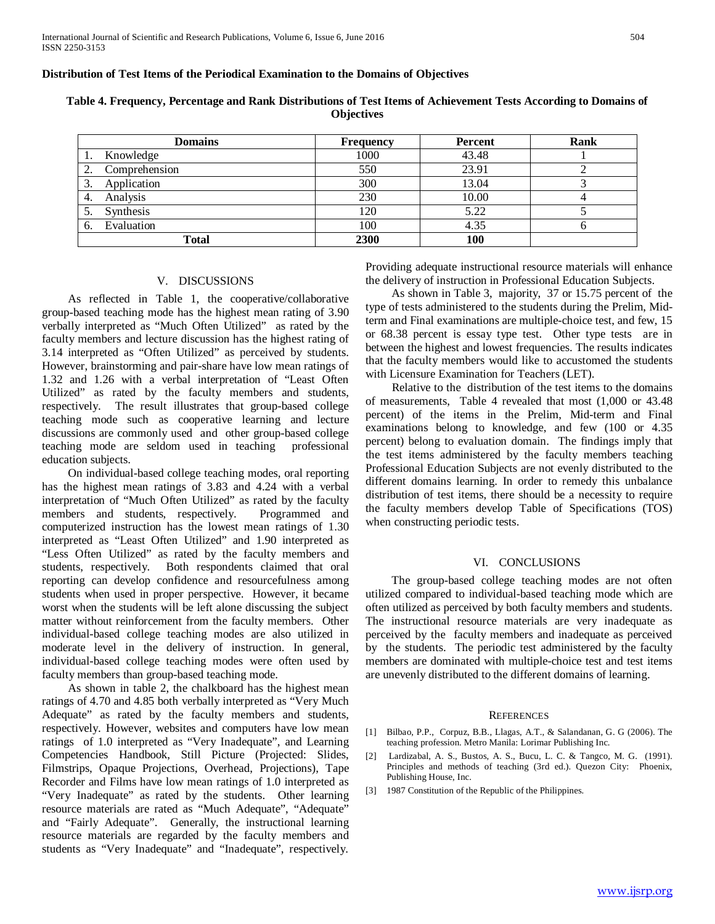### **Distribution of Test Items of the Periodical Examination to the Domains of Objectives**

| <b>Domains</b>               | <b>Frequency</b> | <b>Percent</b> | Rank |
|------------------------------|------------------|----------------|------|
| Knowledge                    | 1000             | 43.48          |      |
| Comprehension<br>2.          | 550              | 23.91          |      |
| Application<br>3.            | 300              | 13.04          |      |
| Analysis<br>4.               | 230              | 10.00          |      |
| Synthesis<br>$\mathcal{L}$ . | 120              | 5.22           |      |
| Evaluation<br>6.             | 100              | 4.35           |      |
| Total                        | 2300             | 100            |      |

## **Table 4. Frequency, Percentage and Rank Distributions of Test Items of Achievement Tests According to Domains of Objectives**

#### V. DISCUSSIONS

 As reflected in Table 1, the cooperative/collaborative group-based teaching mode has the highest mean rating of 3.90 verbally interpreted as "Much Often Utilized" as rated by the faculty members and lecture discussion has the highest rating of 3.14 interpreted as "Often Utilized" as perceived by students. However, brainstorming and pair-share have low mean ratings of 1.32 and 1.26 with a verbal interpretation of "Least Often Utilized" as rated by the faculty members and students, respectively. The result illustrates that group-based college teaching mode such as cooperative learning and lecture discussions are commonly used and other group-based college teaching mode are seldom used in teaching professional education subjects.

 On individual-based college teaching modes, oral reporting has the highest mean ratings of 3.83 and 4.24 with a verbal interpretation of "Much Often Utilized" as rated by the faculty members and students, respectively. Programmed and computerized instruction has the lowest mean ratings of 1.30 interpreted as "Least Often Utilized" and 1.90 interpreted as "Less Often Utilized" as rated by the faculty members and students, respectively. Both respondents claimed that oral reporting can develop confidence and resourcefulness among students when used in proper perspective. However, it became worst when the students will be left alone discussing the subject matter without reinforcement from the faculty members. Other individual-based college teaching modes are also utilized in moderate level in the delivery of instruction. In general, individual-based college teaching modes were often used by faculty members than group-based teaching mode.

 As shown in table 2, the chalkboard has the highest mean ratings of 4.70 and 4.85 both verbally interpreted as "Very Much Adequate" as rated by the faculty members and students, respectively. However, websites and computers have low mean ratings of 1.0 interpreted as "Very Inadequate", and Learning Competencies Handbook, Still Picture (Projected: Slides, Filmstrips, Opaque Projections, Overhead, Projections), Tape Recorder and Films have low mean ratings of 1.0 interpreted as "Very Inadequate" as rated by the students. Other learning resource materials are rated as "Much Adequate", "Adequate" and "Fairly Adequate". Generally, the instructional learning resource materials are regarded by the faculty members and students as "Very Inadequate" and "Inadequate", respectively.

Providing adequate instructional resource materials will enhance the delivery of instruction in Professional Education Subjects.

 As shown in Table 3, majority, 37 or 15.75 percent of the type of tests administered to the students during the Prelim, Midterm and Final examinations are multiple-choice test, and few, 15 or 68.38 percent is essay type test. Other type tests are in between the highest and lowest frequencies. The results indicates that the faculty members would like to accustomed the students with Licensure Examination for Teachers (LET).

 Relative to the distribution of the test items to the domains of measurements, Table 4 revealed that most (1,000 or 43.48 percent) of the items in the Prelim, Mid-term and Final examinations belong to knowledge, and few (100 or 4.35 percent) belong to evaluation domain. The findings imply that the test items administered by the faculty members teaching Professional Education Subjects are not evenly distributed to the different domains learning. In order to remedy this unbalance distribution of test items, there should be a necessity to require the faculty members develop Table of Specifications (TOS) when constructing periodic tests.

#### VI. CONCLUSIONS

 The group-based college teaching modes are not often utilized compared to individual-based teaching mode which are often utilized as perceived by both faculty members and students. The instructional resource materials are very inadequate as perceived by the faculty members and inadequate as perceived by the students. The periodic test administered by the faculty members are dominated with multiple-choice test and test items are unevenly distributed to the different domains of learning.

#### **REFERENCES**

- [1] Bilbao, P.P., Corpuz, B.B., Llagas, A.T., & Salandanan, G. G (2006). The teaching profession. Metro Manila: Lorimar Publishing Inc.
- [2] Lardizabal, A. S., Bustos, A. S., Bucu, L. C. & Tangco, M. G. (1991). Principles and methods of teaching (3rd ed.). Quezon City: Phoenix, Publishing House, Inc.
- [3] 1987 Constitution of the Republic of the Philippines.